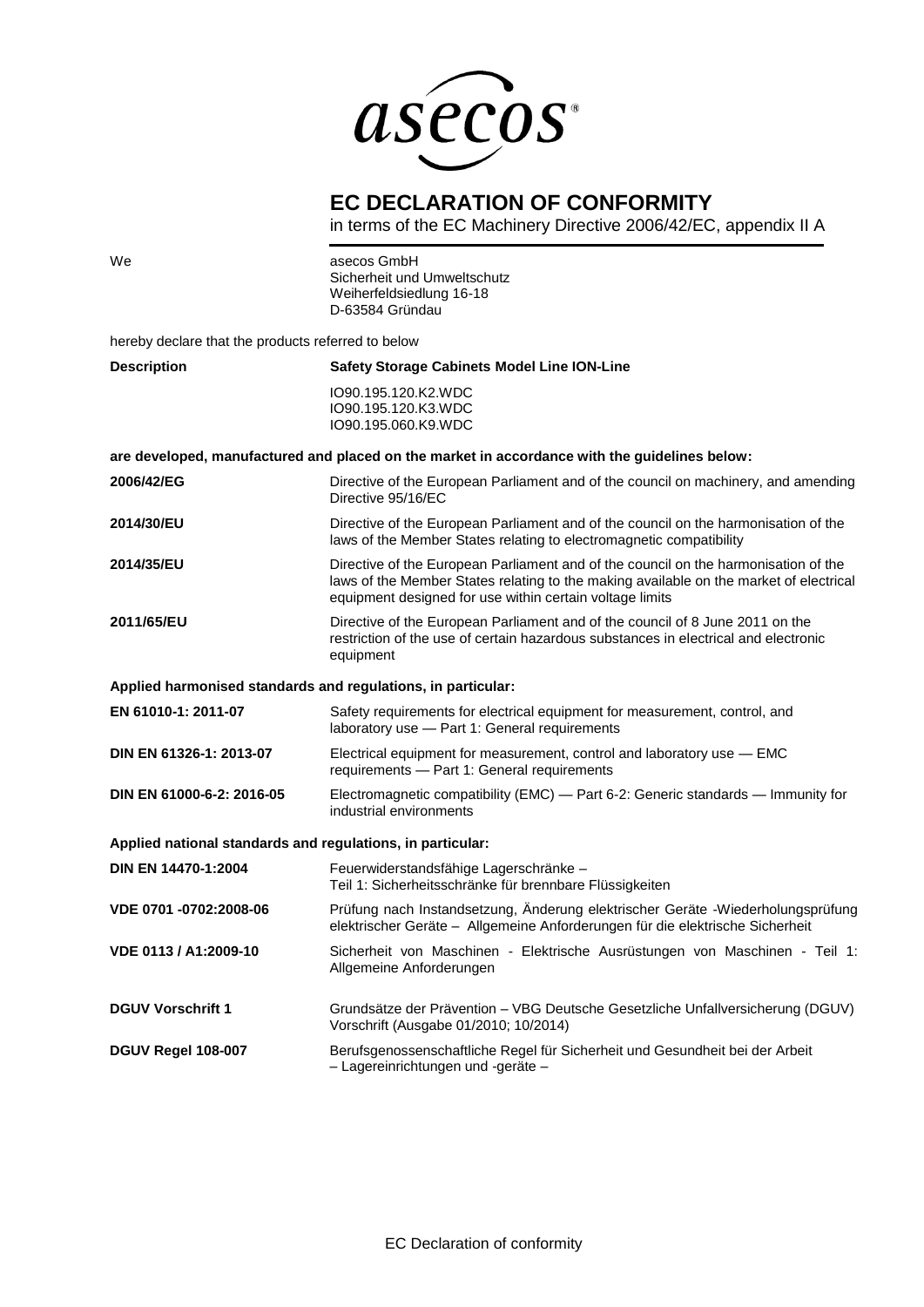

## **EC DECLARATION OF CONFORMITY**

in terms of the EC Machinery Directive 2006/42/EC, appendix II A

| We                                                         | asecos GmbH<br>Sicherheit und Umweltschutz<br>Weiherfeldsiedlung 16-18<br>D-63584 Gründau                                                                                                                                                 |
|------------------------------------------------------------|-------------------------------------------------------------------------------------------------------------------------------------------------------------------------------------------------------------------------------------------|
| hereby declare that the products referred to below         |                                                                                                                                                                                                                                           |
| <b>Description</b>                                         | <b>Safety Storage Cabinets Model Line ION-Line</b>                                                                                                                                                                                        |
|                                                            | IO90.195.120.K2.WDC<br>IO90.195.120.K3.WDC<br>IO90.195.060.K9.WDC                                                                                                                                                                         |
|                                                            | are developed, manufactured and placed on the market in accordance with the guidelines below:                                                                                                                                             |
| 2006/42/EG                                                 | Directive of the European Parliament and of the council on machinery, and amending<br>Directive 95/16/EC                                                                                                                                  |
| 2014/30/EU                                                 | Directive of the European Parliament and of the council on the harmonisation of the<br>laws of the Member States relating to electromagnetic compatibility                                                                                |
| <b>2014/35/EU</b>                                          | Directive of the European Parliament and of the council on the harmonisation of the<br>laws of the Member States relating to the making available on the market of electrical<br>equipment designed for use within certain voltage limits |
| 2011/65/EU                                                 | Directive of the European Parliament and of the council of 8 June 2011 on the<br>restriction of the use of certain hazardous substances in electrical and electronic<br>equipment                                                         |
|                                                            | Applied harmonised standards and regulations, in particular:                                                                                                                                                                              |
| EN 61010-1: 2011-07                                        | Safety requirements for electrical equipment for measurement, control, and<br>laboratory use - Part 1: General requirements                                                                                                               |
| DIN EN 61326-1: 2013-07                                    | Electrical equipment for measurement, control and laboratory use - EMC<br>requirements - Part 1: General requirements                                                                                                                     |
| DIN EN 61000-6-2: 2016-05                                  | Electromagnetic compatibility (EMC) — Part 6-2: Generic standards — Immunity for<br>industrial environments                                                                                                                               |
| Applied national standards and regulations, in particular: |                                                                                                                                                                                                                                           |
| <b>DIN EN 14470-1:2004</b>                                 | Feuerwiderstandsfähige Lagerschränke -<br>Teil 1: Sicherheitsschränke für brennbare Flüssigkeiten                                                                                                                                         |
| VDE 0701 -0702:2008-06                                     | Prüfung nach Instandsetzung, Änderung elektrischer Geräte -Wiederholungsprüfung<br>elektrischer Geräte - Allgemeine Anforderungen für die elektrische Sicherheit                                                                          |
| VDE 0113 / A1:2009-10                                      | Sicherheit von Maschinen - Elektrische Ausrüstungen von Maschinen - Teil 1:<br>Allgemeine Anforderungen                                                                                                                                   |
| <b>DGUV Vorschrift 1</b>                                   | Grundsätze der Prävention - VBG Deutsche Gesetzliche Unfallversicherung (DGUV)<br>Vorschrift (Ausgabe 01/2010; 10/2014)                                                                                                                   |
| DGUV Regel 108-007                                         | Berufsgenossenschaftliche Regel für Sicherheit und Gesundheit bei der Arbeit<br>- Lagereinrichtungen und -geräte -                                                                                                                        |